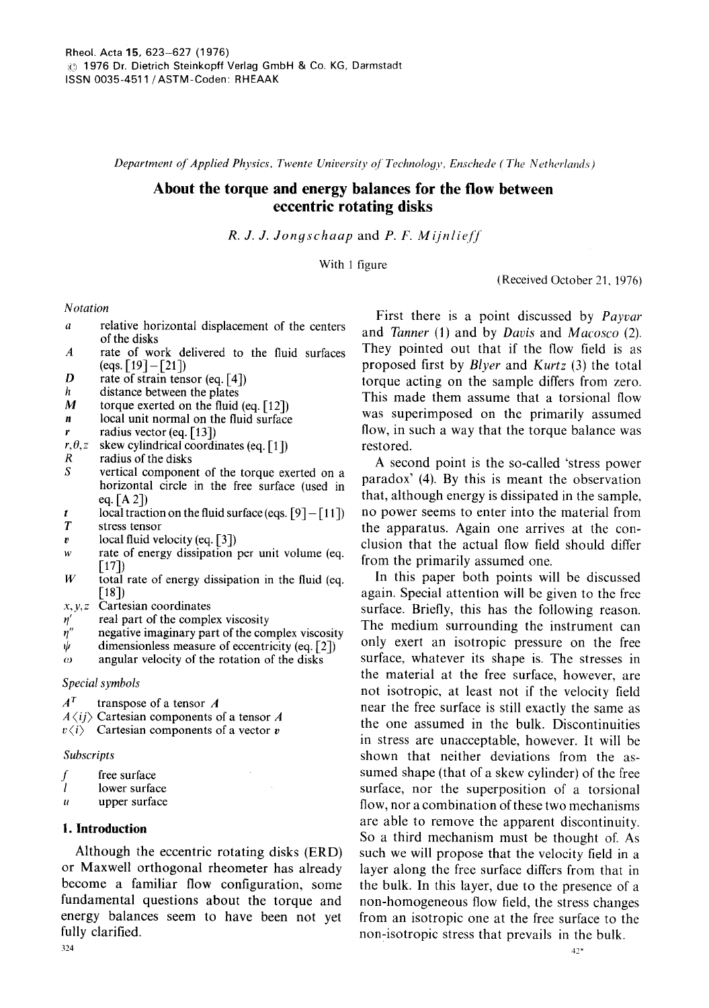*Department of Applied Physics, Twente University of Technology, Enschede (The Netherlands)* 

# **About the torque and energy balances for the flow between eccentric rotating disks**

*R. J. J. Jongschaa p* and *P. F. Mijnlie/]"* 

With 1 figure

(Received October 21, 1976)

### *Notation*

- a relative horizontal displacement of the centers of the disks
- A rate of work delivered to the fluid surfaces  $(eqs. [19] - [21])$
- $D$  rate of strain tensor (eq. [4])
- $h$  distance between the plates  $M$  torque exerted on the fluid
- torque exerted on the fluid (eq.  $[12]$ )
- $n$  local unit normal on the fluid surface
- r radius vector (eq. [13])<br>r. $\theta$ , z skew cylindrical coordi
- $r, \theta, z$  skew cylindrical coordinates (eq. [1])<br>*R* radius of the disks
- $R$  radius of the disks<br>S vertical componer
- vertical component of the torque exerted on a horizontal circle in the free surface (used in eq.  $[A 2]$
- t local traction on the fluid surface (eqs.  $[9] [11]$ )<br>
T stress tensor stress tensor
- 
- $v$  local fluid velocity (eq. [3])
- w rate of energy dissipation per unit volume (eq. [17])
- $W$  total rate of energy dissipation in the fluid (eq. [18])
- *x,y,z* Cartesian coordinates
- 
- $\eta'$  real part of the complex viscosity<br> $\eta''$  negative imaginary part of the con  $\eta''$  negative imaginary part of the complex viscosity<br>  $\psi$  dimensionless measure of eccentricity (eq. [2])
- $\psi$  dimensionless measure of eccentricity (eq. [2]) angular velocity of the rotation of the disks
- angular velocity of the rotation of the disks

*Special symbols* 

 $A<sup>T</sup>$  transpose of a tensor A

 $A \langle ij \rangle$  Cartesian components of a tensor A

 $v\langle i\rangle$  Cartesian components of a vector v

#### *Subscripts*

- $f$  free surface<br> $f$  lower surface
- lower surface
- $u$  upper surface

### **I. Introduction**

Although the eccentric rotating disks (ERD) or Maxwell orthogonal rheometer has already become a familiar flow configuration, some fundamental questions about the torque and energy balances seem to have been not yet fully clarified. 324

First there is a point discussed by *Payvar*  and *Tanner* (1) and by *Davis* and *Macosco* (2). They pointed out that if the flow field is as proposed first by *Blyer* and *Kurtz* (3) the total torque acting on the sample differs from zero. This made them assume that a torsional flow was superimposed on the primarily assumed flow, in such a way that the torque balance was restored.

A second point is the so-called 'stress power paradox' (4). By this is meant the observation that, although energy is dissipated in the sample, no power seems to enter into the material from the apparatus. Again one arrives at the conclusion that the actual flow field should differ from the primarily assumed one.

In this paper both points will be discussed again. Special attention will be given to the free surface. Briefly, this has the following reason. The medium surrounding the instrument can only exert an isotropic pressure on the free surface, whatever its shape is. The stresses in the material at the free surface, however, are not isotropic, at least not if the velocity field near the free surface is still exactly the same as the one assumed in the bulk. Discontinuities in stress are unacceptable, however. It will be shown that neither deviations from the assumed shape (that of a skew cylinder) of the free surface, nor the superposition of a torsional flow, nor a combination of these two mechanisms are able to remove the apparent discontinuity. So a third mechanism must be thought of. As such we will propose that the velocity field in a layer along the free surface differs from that in the bulk. In this layer, due to the presence of a non-homogeneous flow field, the stress changes from an isotropic one at the free surface to the non-isotropic stress that prevails in the bulk.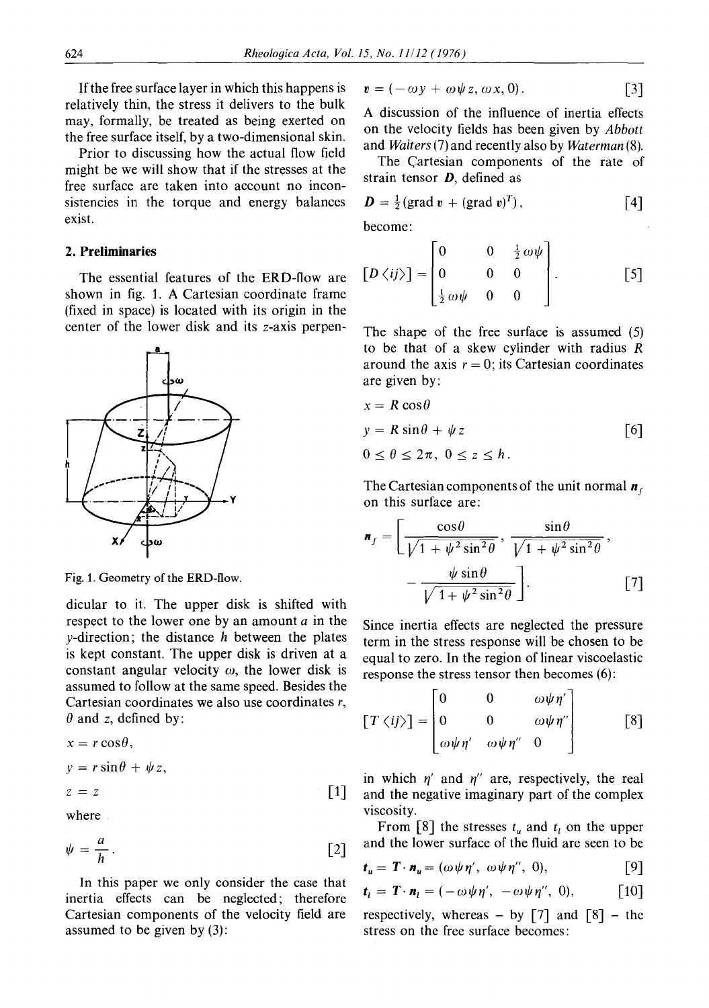Ifthe free surface layer in which this happens is relatively thin, the stress it delivers to the bulk may, formally, be treated as being exerted on the free surface itself, by a two-dimensional skin.

Prior to discussing how the actual flow field might be we will show that if the stresses at the free surface are taken into account no inconsistencies in the torque and energy balances exist.

## **2. Preliminaries**

The essential features of the ERD-flow are shown in fig. 1. A Cartesian coordinate frame (fixed in space) is located with its origin in the center of the lower disk and its z-axis perpen-



Fig. 1. Geometry of the ERD-flow.

dicular to it. The upper disk is shifted with respect to the lower one by an amount a in the  $y$ -direction; the distance  $h$  between the plates is kept constant. The upper disk is driven at a constant angular velocity  $\omega$ , the lower disk is assumed to follow at the same speed. Besides the Cartesian coordinates we also use coordinates r,  $\theta$  and z, defined by:

$$
x = r \cos \theta,
$$
  
\n
$$
y = r \sin \theta + \psi z,
$$
  
\n
$$
z = z
$$
 [1]

where

$$
\psi = \frac{a}{h} \,. \tag{2}
$$

In this paper we only consider the case that inertia effects can be neglected; therefore Cartesian components of the velocity field are assumed to be given by (3):

$$
\mathbf{v} = (-\omega y + \omega \psi z, \omega x, 0). \tag{3}
$$

A discussion of the influence of inertia effects on the velocity fields has been given by *Abbott*  and *Walters* (7) and recently also by *Waterman* (8).

The Cartesian components of the rate of strain tensor  $D$ , defined as

$$
D = \frac{1}{2} (\text{grad } v + (\text{grad } v)^T), \qquad [4]
$$

become:  
\n
$$
[D \langle ij \rangle] = \begin{bmatrix} 0 & 0 & \frac{1}{2} \omega \psi \\ 0 & 0 & 0 \\ \frac{1}{2} \omega \psi & 0 & 0 \end{bmatrix}.
$$
 [5]

The shape of the free surface is assumed (5) to be that of a skew cylinder with radius  $R$ around the axis  $r = 0$ ; its Cartesian coordinates are given by:

$$
x = R \cos \theta
$$
  
y = R \sin \theta + \psi z [6]  
0 \le \theta \le 2\pi, 0 \le z \le h.

The Cartesian components of the unit normal  $\mathbf{n}_f$ on this surface are:

$$
\mathbf{n}_f = \left[ \frac{\cos \theta}{\sqrt{1 + \psi^2 \sin^2 \theta}}, \frac{\sin \theta}{\sqrt{1 + \psi^2 \sin^2 \theta}}, -\frac{\psi \sin \theta}{\sqrt{1 + \psi^2 \sin^2 \theta}} \right].
$$
 [7]

Since inertia effects are neglected the pressure term in the stress response will be chosen to be equal to zero. In the region of linear viscoelastic response the stress tensor then becomes (6):

$$
\begin{bmatrix} T \langle ij \rangle \end{bmatrix} = \begin{bmatrix} 0 & 0 & \omega \psi \eta' \\ 0 & 0 & \omega \psi \eta'' \\ \omega \psi \eta' & \omega \psi \eta'' & 0 \end{bmatrix}
$$
 [8]

in which  $\eta'$  and  $\eta''$  are, respectively, the real and the negative imaginary part of the complex viscosity.

From [8] the stresses  $t_u$  and  $t_l$  on the upper and the lower surface of the fluid are seen to be

$$
\mathbf{t}_{u} = \mathbf{T} \cdot \mathbf{n}_{u} = (\omega \psi \eta', \ \omega \psi \eta'', \ 0), \qquad [9]
$$

$$
\mathbf{t}_l = \mathbf{T} \cdot \mathbf{n}_l = (-\omega \psi \eta', -\omega \psi \eta'', 0), \quad [10]
$$

respectively, whereas  $-$  by [7] and [8]  $-$  the stress on the free surface becomes: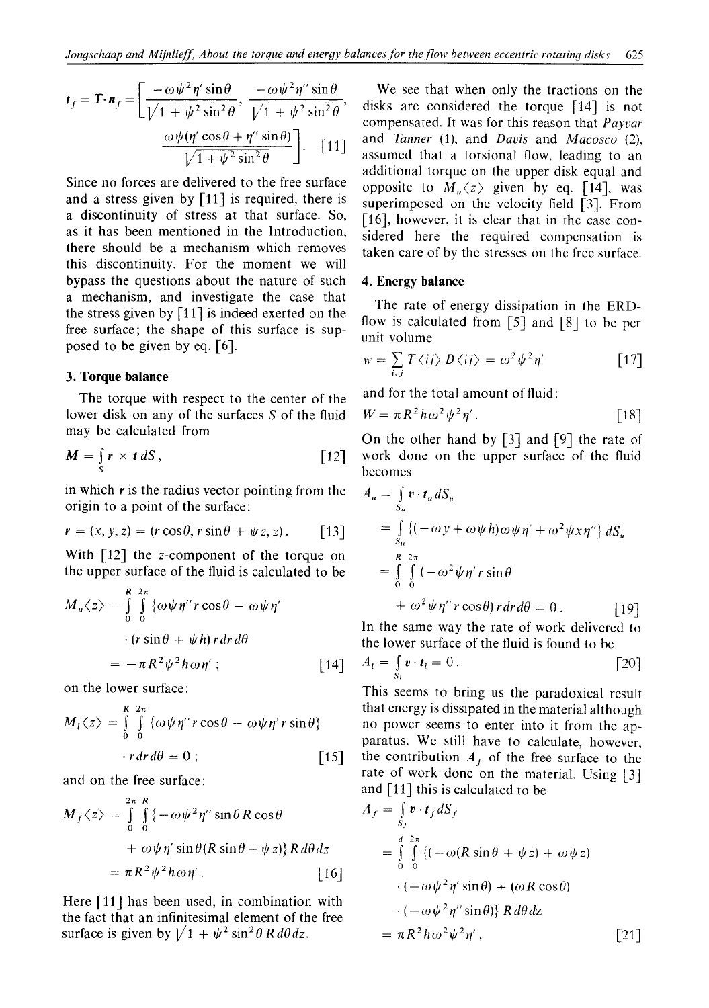$$
\boldsymbol{t}_{f} = \boldsymbol{\Gamma} \cdot \boldsymbol{n}_{f} = \left[ \frac{-\omega \psi^{2} \eta' \sin \theta}{\sqrt{1 + \psi^{2} \sin^{2} \theta}}, \frac{-\omega \psi^{2} \eta'' \sin \theta}{\sqrt{1 + \psi^{2} \sin^{2} \theta}}, \frac{\omega \psi (\eta' \cos \theta + \eta'' \sin \theta)}{\sqrt{1 + \psi^{2} \sin^{2} \theta}} \right].
$$
 [11]

Since no forces are delivered to the free surface and a stress given by  $\lceil 11 \rceil$  is required, there is a discontinuity of stress at that surface. So, as it has been mentioned in the Introduction, there should be a mechanism which removes this discontinuity. For the moment we will bypass the questions about the nature of such a mechanism, and investigate the case that the stress given by  $\lceil 11 \rceil$  is indeed exerted on the free surface; the shape of this surface is supposed to be given by eq.  $[6]$ .

### 3. Torque balance

The torque with respect to the center of the lower disk on any of the surfaces S of the fluid may be calculated from

$$
M = \int_{S} r \times t \, dS \,, \tag{12}
$$

in which  $r$  is the radius vector pointing from the origin to a point of the surface:

$$
\mathbf{r} = (x, y, z) = (r \cos \theta, r \sin \theta + \psi z, z).
$$
 [13]

With  $\lceil 12 \rceil$  the z-component of the torque on the upper surface of the fluid is calculated to be

$$
M_u \langle z \rangle = \int_0^R \int_0^{2\pi} {\omega \psi \eta'' r \cos \theta - \omega \psi \eta' \over (r \sin \theta + \psi h) r dr d\theta}
$$
  
=  $-\pi R^2 \psi^2 h \omega \eta' ;$  [14]

on the lower surface:

$$
M_1 \langle z \rangle = \int_{0}^{R} \int_{0}^{2\pi} {\omega \psi \eta'' r \cos \theta - \omega \psi \eta' r \sin \theta}
$$
  
 
$$
\cdot r dr d\theta = 0 ; \qquad [15]
$$

and on the free surface:

$$
M_f \langle z \rangle = \int_{0}^{2\pi} \int_{0}^{R} \{-\omega \psi^2 \eta'' \sin \theta R \cos \theta
$$
  
+  $\omega \psi \eta' \sin \theta (R \sin \theta + \psi z) \} R d\theta dz$   
=  $\pi R^2 \psi^2 h \omega \eta'.$  [16]

Here  $\lceil 11 \rceil$  has been used, in combination with the fact that an infinitesimal element of the free surface is given by  $\sqrt{1 + \psi^2 \sin^2 \theta} R d\theta dz$ .

We see that when only the tractions on the disks are considered the torque [14] is not compensated. It was for this reason that Payvar and Tanner (1), and Davis and Macosco (2), assumed that a torsional flow, leading to an additional torque on the upper disk equal and opposite to  $M_u \langle z \rangle$  given by eq. [14], was superimposed on the velocity field [3]. From [16], however, it is clear that in the case considered here the required compensation is taken care of by the stresses on the free surface.

### 4. Energy balance

The rate of energy dissipation in the ERDflow is calculated from  $\lceil 5 \rceil$  and  $\lceil 8 \rceil$  to be per unit volume

$$
w = \sum_{i,j} T \langle ij \rangle D \langle ij \rangle = \omega^2 \psi^2 \eta'
$$
 [17]

and for the total amount of fluid:

$$
W = \pi R^2 h \omega^2 \psi^2 \eta'.
$$
 [18]

On the other hand by [3] and [9] the rate of work done on the upper surface of the fluid becomes

$$
A_u = \int_{S_u} \mathbf{v} \cdot \mathbf{t}_u dS_u
$$
  
= 
$$
\int_{S_u} \{(-\omega y + \omega \psi h) \omega \psi \eta' + \omega^2 \psi x \eta''\} dS_u
$$
  
= 
$$
\int_{0}^{R} \int_{0}^{2\pi} (-\omega^2 \psi \eta' r \sin \theta
$$
  
+ 
$$
\omega^2 \psi \eta'' r \cos \theta) r dr d\theta = 0.
$$
 [19]

In the same way the rate of work delivered to the lower surface of the fluid is found to be

$$
A_l = \int_{S_l} \mathbf{v} \cdot \mathbf{t}_l = 0. \tag{20}
$$

This seems to bring us the paradoxical result that energy is dissipated in the material although no power seems to enter into it from the apparatus. We still have to calculate, however, the contribution  $A_f$  of the free surface to the rate of work done on the material. Using [3] and  $\lceil 11 \rceil$  this is calculated to be

$$
A_{f} = \int_{S_{f}} \mathbf{v} \cdot \mathbf{t}_{f} dS_{f}
$$
  
= 
$$
\int_{0}^{d} \int_{0}^{2\pi} \{(-\omega(R \sin \theta + \psi z) + \omega \psi z) - (-\omega \psi^{2} \eta' \sin \theta) + (\omega R \cos \theta) - (-\omega \psi^{2} \eta' \sin \theta)\} R d\theta dz
$$
  
= 
$$
\pi R^{2} \hbar \omega^{2} \psi^{2} \eta', \qquad [21]
$$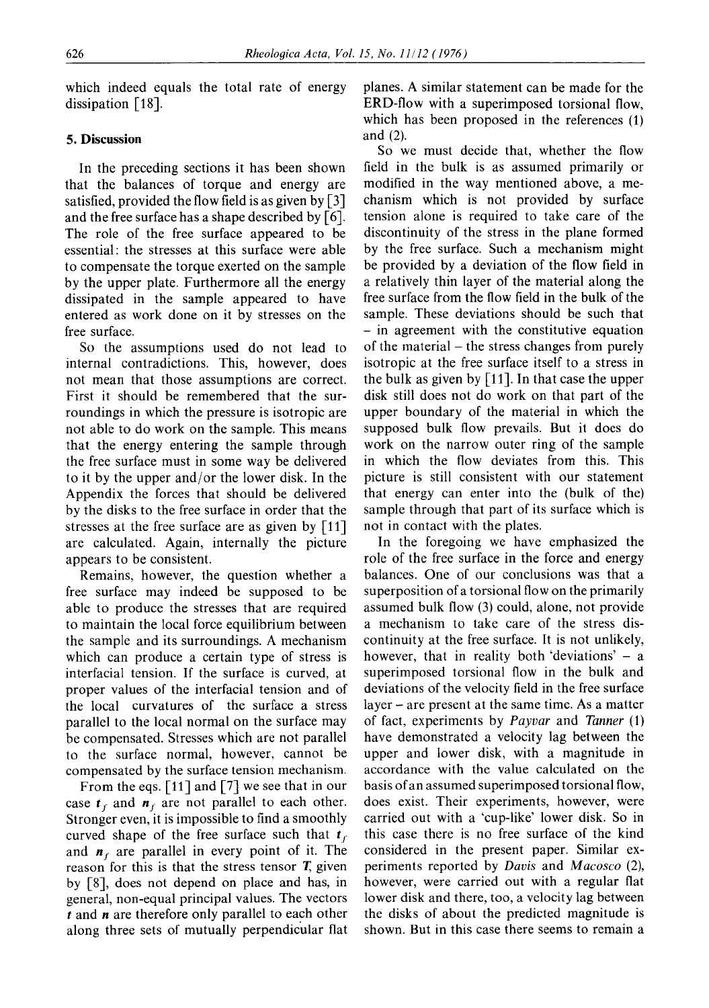which indeed equals the total rate of energy dissipation [18].

### **5. Discussion**

In the preceding sections it has been shown that the balances of torque and energy are satisfied, provided the flow field is as given by [3] and the free surface has a shape described by  $\lceil 6 \rceil$ . The role of the free surface appeared to be essential: the stresses at this surface were able to compensate the torque exerted on the sample by the upper plate. Furthermore all the energy dissipated in the sample appeared to have entered as work done on it by stresses on the free surface.

So the assumptions used do not lead to internal contradictions. This, however, does not mean that those assumptions are correct. First it should be remembered that the surroundings in which the pressure is isotropic are not able to do work on the sample. This means that the energy entering the sample through the free surface must in some way be delivered to it by the upper and/or the lower disk. In the Appendix the forces that should be delivered by the disks to the free surface in order that the stresses at the free surface are as given by [11] are calculated. Again, internally the picture appears to be consistent.

Remains, however, the question whether a free surface may indeed be supposed to be able to produce the stresses that are required to maintain the local force equilibrium between the sample and its surroundings. A mechanism which can produce a certain type of stress is interfacial tension. If the surface is curved, at proper values of the interfacial tension and of the local curvatures of the surface a stress parallel to the local normal on the surface may be compensated. Stresses which are not parallel to the surface normal, however, cannot be compensated by the surface tension mechanism.

From the eqs. [11] and [7] we see that in our case  $t_f$  and  $n_f$  are not parallel to each other. Stronger even, it is impossible to find a smoothly curved shape of the free surface such that  $t_f$ and  $n_f$  are parallel in every point of it. The reason for this is that the stress tensor  $T$ , given by [8], does not depend on place and has, in general, non-equal principal values. The vectors  $t$  and  $n$  are therefore only parallel to each other along three sets of mutually perpendicular flat

planes. A similar statement can be made for the ERD-flow with a superimposed torsional flow, which has been proposed in the references (1) and (2).

So we must decide that, whether the flow field in the bulk is as assumed primarily or modified in the way mentioned above, a mechanism which is not provided by surface tension alone is required to take care of the discontinuity of the stress in the plane formed by the free surface. Such a mechanism might be provided by a deviation of the flow field in a relatively thin layer of the material along the free surface from the flow field in the bulk of the sample. These deviations should be such that **-** in agreement with the constitutive equation of the material - the stress changes from purely isotropic at the free surface itself to a stress in the bulk as given by [11]. In that case the upper disk still does not do work on that part of the upper boundary of the material in which the supposed bulk flow prevails. But it does do work on the narrow outer ring of the sample in which the flow deviates from this. This picture is still consistent with our statement that energy can enter into the (bulk of the) sample through that part of its surface which is not in contact with the plates.

In the foregoing we have emphasized the role of the free surface in the force and energy balances. One of our conclusions was that a superposition of a torsional flow on the primarily assumed bulk flow (3) could, alone, not provide a mechanism to take care of the stress discontinuity at the free surface. It is not unlikely, however, that in reality both 'deviations'  $-$  a superimposed torsional flow in the bulk and deviations of the velocity field in the free surface  $layer - are present at the same time. As a matter$ of fact, experiments by *Payvar* and *Tanner* (1) have demonstrated a velocity lag between the upper and lower disk, with a magnitude in accordance with the value calculated on the basis of an assumed superimposed torsional flow, does exist. Their experiments, however, were carried out with a 'cup-like' lower disk. So in this case there is no free surface of the kind considered in the present paper. Similar experiments reported by *Davis* and *Macosco* (2), however, were carried out with a regular flat lower disk and there, too, a velocity lag between the disks of about the predicted magnitude is shown. But in this case there seems to remain a